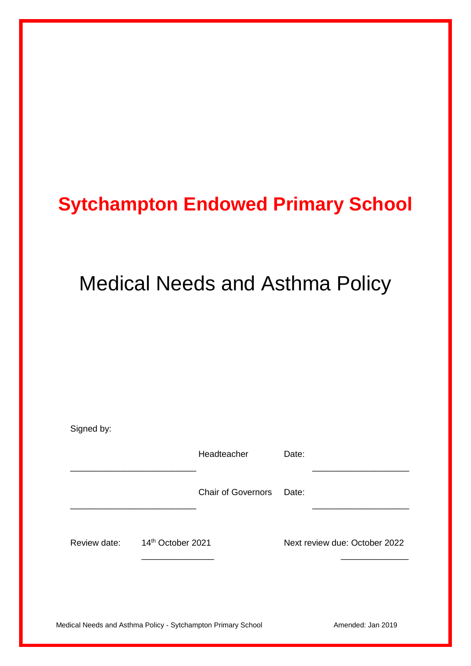## **Sytchampton Endowed Primary School**

# Medical Needs and Asthma Policy

| Signed by:                                                   |                                   |                           |                               |                   |
|--------------------------------------------------------------|-----------------------------------|---------------------------|-------------------------------|-------------------|
|                                                              |                                   | Headteacher               | Date:                         |                   |
|                                                              |                                   | <b>Chair of Governors</b> | Date:                         |                   |
|                                                              | 14th October 2021<br>Review date: |                           | Next review due: October 2022 |                   |
|                                                              |                                   |                           |                               |                   |
| Medical Needs and Asthma Policy - Sytchampton Primary School |                                   |                           |                               | Amended: Jan 2019 |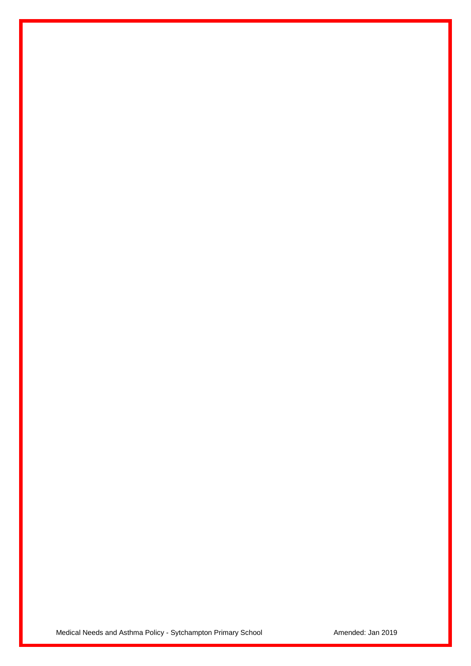Medical Needs and Asthma Policy - Sytchampton Primary School **Amended: Jan 2019**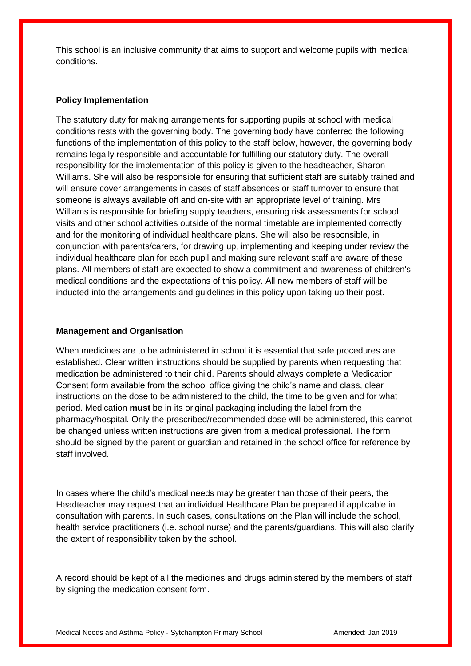This school is an inclusive community that aims to support and welcome pupils with medical conditions.

#### **Policy Implementation**

The statutory duty for making arrangements for supporting pupils at school with medical conditions rests with the governing body. The governing body have conferred the following functions of the implementation of this policy to the staff below, however, the governing body remains legally responsible and accountable for fulfilling our statutory duty. The overall responsibility for the implementation of this policy is given to the headteacher, Sharon Williams. She will also be responsible for ensuring that sufficient staff are suitably trained and will ensure cover arrangements in cases of staff absences or staff turnover to ensure that someone is always available off and on-site with an appropriate level of training. Mrs Williams is responsible for briefing supply teachers, ensuring risk assessments for school visits and other school activities outside of the normal timetable are implemented correctly and for the monitoring of individual healthcare plans. She will also be responsible, in conjunction with parents/carers, for drawing up, implementing and keeping under review the individual healthcare plan for each pupil and making sure relevant staff are aware of these plans. All members of staff are expected to show a commitment and awareness of children's medical conditions and the expectations of this policy. All new members of staff will be inducted into the arrangements and guidelines in this policy upon taking up their post.

#### **Management and Organisation**

When medicines are to be administered in school it is essential that safe procedures are established. Clear written instructions should be supplied by parents when requesting that medication be administered to their child. Parents should always complete a Medication Consent form available from the school office giving the child's name and class, clear instructions on the dose to be administered to the child, the time to be given and for what period. Medication **must** be in its original packaging including the label from the pharmacy/hospital. Only the prescribed/recommended dose will be administered, this cannot be changed unless written instructions are given from a medical professional. The form should be signed by the parent or guardian and retained in the school office for reference by staff involved.

In cases where the child's medical needs may be greater than those of their peers, the Headteacher may request that an individual Healthcare Plan be prepared if applicable in consultation with parents. In such cases, consultations on the Plan will include the school, health service practitioners (i.e. school nurse) and the parents/guardians. This will also clarify the extent of responsibility taken by the school.

A record should be kept of all the medicines and drugs administered by the members of staff by signing the medication consent form.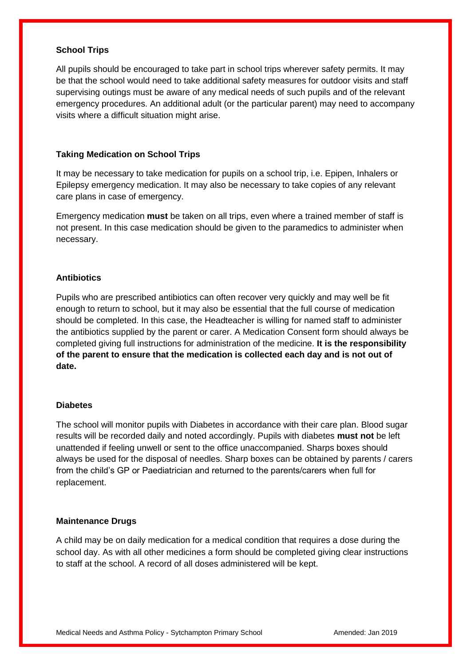#### **School Trips**

All pupils should be encouraged to take part in school trips wherever safety permits. It may be that the school would need to take additional safety measures for outdoor visits and staff supervising outings must be aware of any medical needs of such pupils and of the relevant emergency procedures. An additional adult (or the particular parent) may need to accompany visits where a difficult situation might arise.

#### **Taking Medication on School Trips**

It may be necessary to take medication for pupils on a school trip, i.e. Epipen, Inhalers or Epilepsy emergency medication. It may also be necessary to take copies of any relevant care plans in case of emergency.

Emergency medication **must** be taken on all trips, even where a trained member of staff is not present. In this case medication should be given to the paramedics to administer when necessary.

#### **Antibiotics**

Pupils who are prescribed antibiotics can often recover very quickly and may well be fit enough to return to school, but it may also be essential that the full course of medication should be completed. In this case, the Headteacher is willing for named staff to administer the antibiotics supplied by the parent or carer. A Medication Consent form should always be completed giving full instructions for administration of the medicine. **It is the responsibility of the parent to ensure that the medication is collected each day and is not out of date.**

#### **Diabetes**

The school will monitor pupils with Diabetes in accordance with their care plan. Blood sugar results will be recorded daily and noted accordingly. Pupils with diabetes **must not** be left unattended if feeling unwell or sent to the office unaccompanied. Sharps boxes should always be used for the disposal of needles. Sharp boxes can be obtained by parents / carers from the child's GP or Paediatrician and returned to the parents/carers when full for replacement.

#### **Maintenance Drugs**

A child may be on daily medication for a medical condition that requires a dose during the school day. As with all other medicines a form should be completed giving clear instructions to staff at the school. A record of all doses administered will be kept.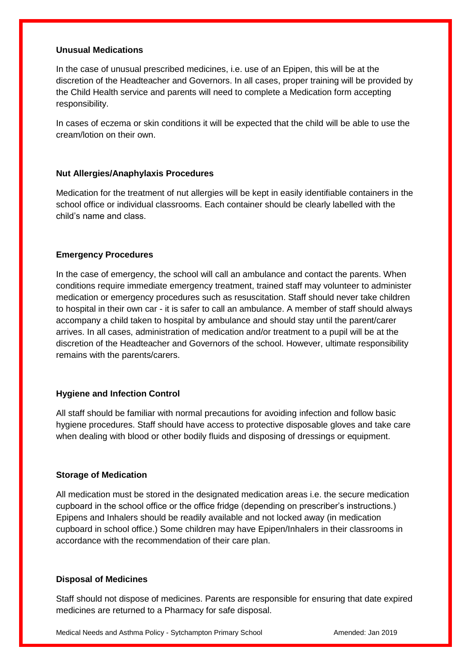#### **Unusual Medications**

In the case of unusual prescribed medicines, i.e. use of an Epipen, this will be at the discretion of the Headteacher and Governors. In all cases, proper training will be provided by the Child Health service and parents will need to complete a Medication form accepting responsibility.

In cases of eczema or skin conditions it will be expected that the child will be able to use the cream/lotion on their own.

#### **Nut Allergies/Anaphylaxis Procedures**

Medication for the treatment of nut allergies will be kept in easily identifiable containers in the school office or individual classrooms. Each container should be clearly labelled with the child's name and class.

#### **Emergency Procedures**

In the case of emergency, the school will call an ambulance and contact the parents. When conditions require immediate emergency treatment, trained staff may volunteer to administer medication or emergency procedures such as resuscitation. Staff should never take children to hospital in their own car - it is safer to call an ambulance. A member of staff should always accompany a child taken to hospital by ambulance and should stay until the parent/carer arrives. In all cases, administration of medication and/or treatment to a pupil will be at the discretion of the Headteacher and Governors of the school. However, ultimate responsibility remains with the parents/carers.

#### **Hygiene and Infection Control**

All staff should be familiar with normal precautions for avoiding infection and follow basic hygiene procedures. Staff should have access to protective disposable gloves and take care when dealing with blood or other bodily fluids and disposing of dressings or equipment.

#### **Storage of Medication**

All medication must be stored in the designated medication areas i.e. the secure medication cupboard in the school office or the office fridge (depending on prescriber's instructions.) Epipens and Inhalers should be readily available and not locked away (in medication cupboard in school office.) Some children may have Epipen/Inhalers in their classrooms in accordance with the recommendation of their care plan.

#### **Disposal of Medicines**

Staff should not dispose of medicines. Parents are responsible for ensuring that date expired medicines are returned to a Pharmacy for safe disposal.

Medical Needs and Asthma Policy - Sytchampton Primary School **Amended:** Jan 2019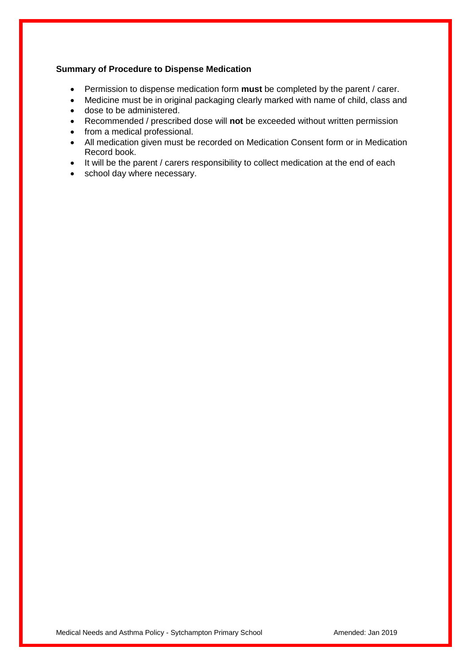#### **Summary of Procedure to Dispense Medication**

- Permission to dispense medication form **must** be completed by the parent / carer.
- Medicine must be in original packaging clearly marked with name of child, class and dose to be administered.
- Recommended / prescribed dose will **not** be exceeded without written permission
- from a medical professional.
- All medication given must be recorded on Medication Consent form or in Medication Record book.
- It will be the parent / carers responsibility to collect medication at the end of each
- school day where necessary.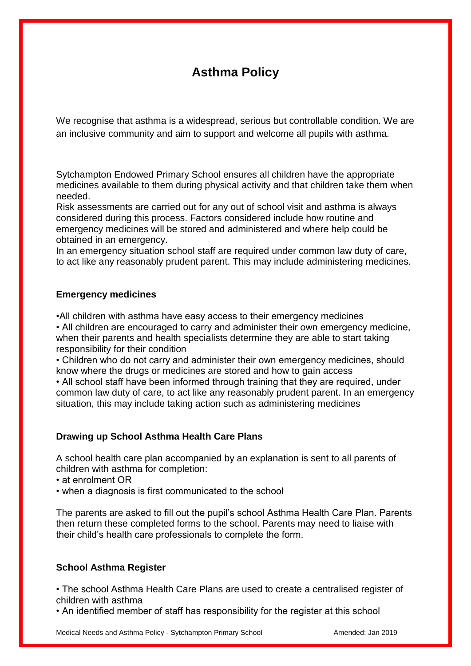### **Asthma Policy**

We recognise that asthma is a widespread, serious but controllable condition. We are an inclusive community and aim to support and welcome all pupils with asthma.

Sytchampton Endowed Primary School ensures all children have the appropriate medicines available to them during physical activity and that children take them when needed.

Risk assessments are carried out for any out of school visit and asthma is always considered during this process. Factors considered include how routine and emergency medicines will be stored and administered and where help could be obtained in an emergency.

In an emergency situation school staff are required under common law duty of care, to act like any reasonably prudent parent. This may include administering medicines.

#### **Emergency medicines**

•All children with asthma have easy access to their emergency medicines

• All children are encouraged to carry and administer their own emergency medicine, when their parents and health specialists determine they are able to start taking responsibility for their condition

• Children who do not carry and administer their own emergency medicines, should know where the drugs or medicines are stored and how to gain access

• All school staff have been informed through training that they are required, under common law duty of care, to act like any reasonably prudent parent. In an emergency situation, this may include taking action such as administering medicines

#### **Drawing up School Asthma Health Care Plans**

A school health care plan accompanied by an explanation is sent to all parents of children with asthma for completion:

- at enrolment OR
- when a diagnosis is first communicated to the school

The parents are asked to fill out the pupil's school Asthma Health Care Plan. Parents then return these completed forms to the school. Parents may need to liaise with their child's health care professionals to complete the form.

#### **School Asthma Register**

• The school Asthma Health Care Plans are used to create a centralised register of children with asthma

• An identified member of staff has responsibility for the register at this school